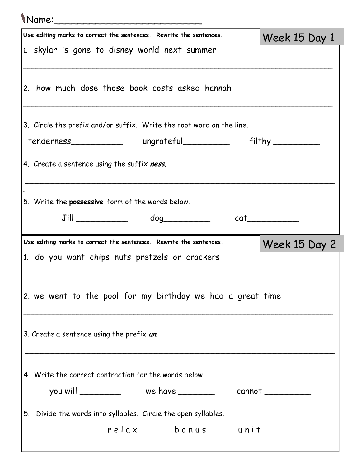## Name:\_\_\_\_\_\_\_\_\_\_\_\_\_\_\_\_\_\_\_\_\_\_\_\_\_

| Use editing marks to correct the sentences. Rewrite the sentences. |                                                                                                                                                                                                                                                                                                                                               | Week 15 Day 1 |
|--------------------------------------------------------------------|-----------------------------------------------------------------------------------------------------------------------------------------------------------------------------------------------------------------------------------------------------------------------------------------------------------------------------------------------|---------------|
| 1. skylar is gone to disney world next summer                      |                                                                                                                                                                                                                                                                                                                                               |               |
|                                                                    |                                                                                                                                                                                                                                                                                                                                               |               |
| 2. how much dose those book costs asked hannah                     |                                                                                                                                                                                                                                                                                                                                               |               |
|                                                                    |                                                                                                                                                                                                                                                                                                                                               |               |
|                                                                    |                                                                                                                                                                                                                                                                                                                                               |               |
|                                                                    | 3. Circle the prefix and/or suffix. Write the root word on the line.                                                                                                                                                                                                                                                                          |               |
|                                                                    |                                                                                                                                                                                                                                                                                                                                               |               |
| 4. Create a sentence using the suffix ness.                        |                                                                                                                                                                                                                                                                                                                                               |               |
|                                                                    |                                                                                                                                                                                                                                                                                                                                               |               |
| 5. Write the <b>possessive</b> form of the words below.            |                                                                                                                                                                                                                                                                                                                                               |               |
|                                                                    |                                                                                                                                                                                                                                                                                                                                               |               |
|                                                                    | $Jill$ $\qquad \qquad$ $\qquad$ $\qquad$ $\qquad$ $\qquad$ $\qquad$ $\qquad$ $\qquad$ $\qquad$ $\qquad$ $\qquad$ $\qquad$ $\qquad$ $\qquad$ $\qquad$ $\qquad$ $\qquad$ $\qquad$ $\qquad$ $\qquad$ $\qquad$ $\qquad$ $\qquad$ $\qquad$ $\qquad$ $\qquad$ $\qquad$ $\qquad$ $\qquad$ $\qquad$ $\qquad$ $\qquad$ $\qquad$ $\qquad$ $\qquad$ $\q$ | cat           |
|                                                                    |                                                                                                                                                                                                                                                                                                                                               |               |
| Use editing marks to correct the sentences. Rewrite the sentences. |                                                                                                                                                                                                                                                                                                                                               | Week 15 Day 2 |
| 1. do you want chips nuts pretzels or crackers                     |                                                                                                                                                                                                                                                                                                                                               |               |
|                                                                    |                                                                                                                                                                                                                                                                                                                                               |               |
|                                                                    |                                                                                                                                                                                                                                                                                                                                               |               |
|                                                                    | 2. we went to the pool for my birthday we had a great time                                                                                                                                                                                                                                                                                    |               |
|                                                                    |                                                                                                                                                                                                                                                                                                                                               |               |
| 3. Create a sentence using the prefix un.                          |                                                                                                                                                                                                                                                                                                                                               |               |
|                                                                    |                                                                                                                                                                                                                                                                                                                                               |               |
|                                                                    |                                                                                                                                                                                                                                                                                                                                               |               |
| 4. Write the correct contraction for the words below.              |                                                                                                                                                                                                                                                                                                                                               |               |
|                                                                    | you will _______________ we have _____________ cannot ____________                                                                                                                                                                                                                                                                            |               |
| 5. Divide the words into syllables. Circle the open syllables.     |                                                                                                                                                                                                                                                                                                                                               |               |
|                                                                    | relax bonus unit                                                                                                                                                                                                                                                                                                                              |               |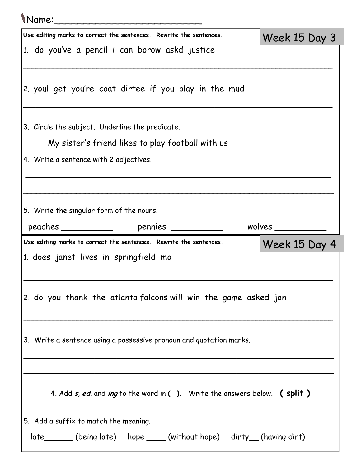## Name:\_\_\_\_\_\_\_\_\_\_\_\_\_\_\_\_\_\_\_\_\_\_\_\_\_

| Use editing marks to correct the sentences. Rewrite the sentences.                                             | Week 15 Day 3 |
|----------------------------------------------------------------------------------------------------------------|---------------|
| 1. do you've a pencil i can borow askd justice                                                                 |               |
|                                                                                                                |               |
| 2. youl get you're coat dirtee if you play in the mud                                                          |               |
|                                                                                                                |               |
|                                                                                                                |               |
| 3. Circle the subject. Underline the predicate.                                                                |               |
| My sister's friend likes to play football with us                                                              |               |
| 4. Write a sentence with 2 adjectives.                                                                         |               |
|                                                                                                                |               |
|                                                                                                                |               |
| 5. Write the singular form of the nouns.                                                                       |               |
|                                                                                                                |               |
|                                                                                                                |               |
| Use editing marks to correct the sentences. Rewrite the sentences.                                             | Week 15 Day 4 |
| 1. does janet lives in springfield mo                                                                          |               |
|                                                                                                                |               |
|                                                                                                                |               |
| 2. do you thank the atlanta falcons will win the game asked jon                                                |               |
|                                                                                                                |               |
| 3. Write a sentence using a possessive pronoun and quotation marks.                                            |               |
|                                                                                                                |               |
|                                                                                                                |               |
|                                                                                                                |               |
| 4. Add <i>s, ed,</i> and <i>ing</i> to the word in (). Write the answers below. ( split)                       |               |
|                                                                                                                |               |
| 5. Add a suffix to match the meaning.<br>late_______(being late) hope _____(without hope) dirty__(having dirt) |               |